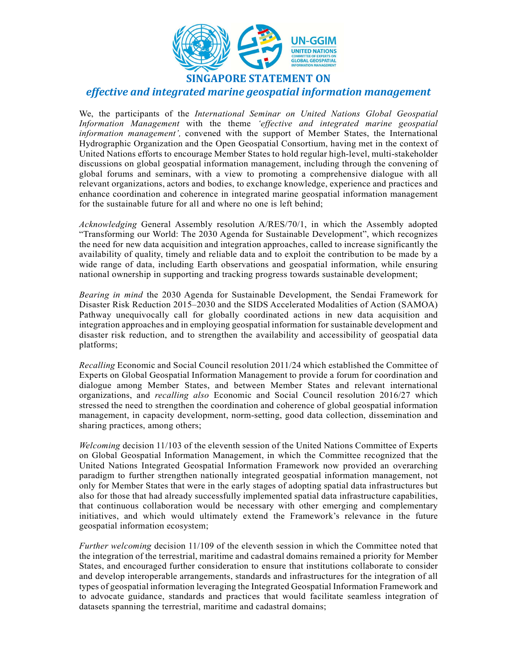

SINGAPORE STATEMENT ON

effective and integrated marine geospatial information management

We, the participants of the International Seminar on United Nations Global Geospatial Information Management with the theme 'effective and integrated marine geospatial information management', convened with the support of Member States, the International Hydrographic Organization and the Open Geospatial Consortium, having met in the context of United Nations efforts to encourage Member States to hold regular high-level, multi-stakeholder discussions on global geospatial information management, including through the convening of global forums and seminars, with a view to promoting a comprehensive dialogue with all relevant organizations, actors and bodies, to exchange knowledge, experience and practices and enhance coordination and coherence in integrated marine geospatial information management for the sustainable future for all and where no one is left behind;

Acknowledging General Assembly resolution A/RES/70/1, in which the Assembly adopted "Transforming our World: The 2030 Agenda for Sustainable Development", which recognizes the need for new data acquisition and integration approaches, called to increase significantly the availability of quality, timely and reliable data and to exploit the contribution to be made by a wide range of data, including Earth observations and geospatial information, while ensuring national ownership in supporting and tracking progress towards sustainable development;

Bearing in mind the 2030 Agenda for Sustainable Development, the Sendai Framework for Disaster Risk Reduction 2015–2030 and the SIDS Accelerated Modalities of Action (SAMOA) Pathway unequivocally call for globally coordinated actions in new data acquisition and integration approaches and in employing geospatial information for sustainable development and disaster risk reduction, and to strengthen the availability and accessibility of geospatial data platforms;

Recalling Economic and Social Council resolution 2011/24 which established the Committee of Experts on Global Geospatial Information Management to provide a forum for coordination and dialogue among Member States, and between Member States and relevant international organizations, and recalling also Economic and Social Council resolution 2016/27 which stressed the need to strengthen the coordination and coherence of global geospatial information management, in capacity development, norm-setting, good data collection, dissemination and sharing practices, among others;

Welcoming decision 11/103 of the eleventh session of the United Nations Committee of Experts on Global Geospatial Information Management, in which the Committee recognized that the United Nations Integrated Geospatial Information Framework now provided an overarching paradigm to further strengthen nationally integrated geospatial information management, not only for Member States that were in the early stages of adopting spatial data infrastructures but also for those that had already successfully implemented spatial data infrastructure capabilities, that continuous collaboration would be necessary with other emerging and complementary initiatives, and which would ultimately extend the Framework's relevance in the future geospatial information ecosystem;

Further welcoming decision 11/109 of the eleventh session in which the Committee noted that the integration of the terrestrial, maritime and cadastral domains remained a priority for Member States, and encouraged further consideration to ensure that institutions collaborate to consider and develop interoperable arrangements, standards and infrastructures for the integration of all types of geospatial information leveraging the Integrated Geospatial Information Framework and to advocate guidance, standards and practices that would facilitate seamless integration of datasets spanning the terrestrial, maritime and cadastral domains;